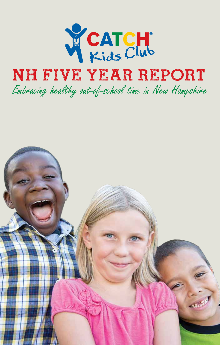

### NH FIVE YEAR REPORT

Embracing healthy out-of-school time in New Hampshire

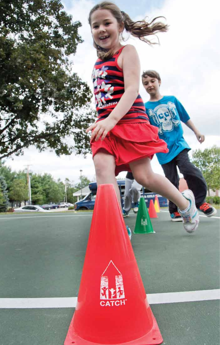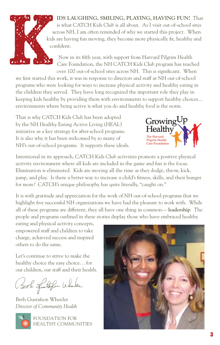

**IDS LAUGHING, SMILING, PLAYING, HAVING FUN!** That<br>is what CATCH Kids Club is all about. As I visit out-of-school sites<br>across NH, I am often reminded of why we started this project. When<br>kids are having fun moving, they b is what CATCH Kids Club is all about. As I visit out-of-school sites across NH, I am often reminded of why we started this project. When kids are having fun moving, they become more physically fit, healthy and confident.

 Now in its fifth year, with support from Harvard Pilgrim Health Care Foundation, the NH CATCH Kids Club program has reached over 100 out-of-school sites across NH. This is significant. When

we first started this work, it was in response to directors and staff at NH out-of-school programs who were looking for ways to increase physical activity and healthy eating in the children they served. They have long recognized the important role they play in keeping kids healthy by providing them with environments to support healthy choices… environments where being active is what you do and healthy food is the norm.

That is why CATCH Kids Club has been adopted by the NH Healthy Eating Active Living (HEAL) initiative as a key strategy for after-school programs. It is also why it has been welcomed by so many of NH's out-of-school programs. It supports these ideals.



Intentional in its approach, CATCH Kids Club activities promote a positive physical activity environment where all kids are included in the game and fun is the focus. Elimination is eliminated. Kids are moving all the time as they dodge, throw, kick, jump, and play. Is there a better way to increase a child's fitness, skills, and their hunger for more? CATCH's unique philosophy has quite literally, "caught on."

It is with gratitude and appreciation for the work of NH out-of-school programs that we highlight five successful NH organizations we have had the pleasure to work with. While all of these programs are different, they all have one thing in common— **leadership**. The people and programs outlined in these stories display those who have embraced healthy

eating and physical activity concepts, empowered staff and children to take charge, achieved success and inspired others to do the same.

Let's continue to strive to make the healthy choice the easy choice… for our children, our staff and their health.

Book futofu Whater

Beth Gustafson Wheeler *Director of Community Health*



FOUNDATION FOR HEALTHY COMMUNITIES

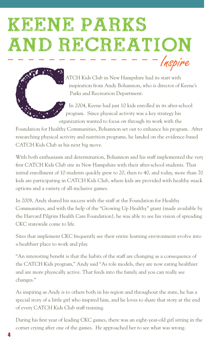# KEENE PARKS AND RECREATION 6 9(48'\$,

ATCH Kids Club in New Hampshire had its start with inspiration from Andy Bohannon, who is director of Keene's Parks and Recreation Department.

In 2004, Keene had just 10 kids enrolled in its after-school program. Since physical activity was a key strategy his organization wanted to focus on through its work with the

Foundation for Healthy Communities, Bohannon set out to enhance his program. After researching physical activity and nutrition programs, he landed on the evidence-based CATCH Kids Club as his next big move.

With both enthusiasm and determination, Bohannon and his staff implemented the very first CATCH Kids Club site in New Hampshire with their after-school students. That initial enrollment of 10 students quickly grew to 20, then to 40, and today, more than 70 kids are participating in CATCH Kids Club, where kids are provided with healthy snack options and a variety of all-inclusive games.

In 2008, Andy shared his success with the staff at the Foundation for Healthy Communities, and with the help of the "Growing Up Healthy" grant (made available by the Harvard Pilgrim Health Care Foundation), he was able to see his vision of spreading CKC statewide come to life.

Sites that implement CKC frequently see their entire learning environment evolve into a healthier place to work and play.

"An interesting benefit is that the habits of the staff are changing as a consequence of the CATCH Kids program," Andy said "As role models, they are now eating healthier and are more physically active. That feeds into the family and you can really see changes."

As inspiring as Andy is to others both in his region and throughout the state, he has a special story of a little girl who inspired him, and he loves to share that story at the end of every CATCH Kids Club staff training.

During his first year of leading CKC games, there was an eight-year-old girl sitting in the corner crying after one of the games. He approached her to see what was wrong.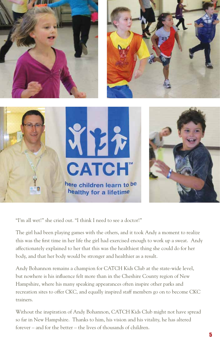

"I'm all wet!" she cried out. "I think I need to see a doctor!"

The girl had been playing games with the others, and it took Andy a moment to realize this was the first time in her life the girl had exercised enough to work up a sweat. Andy affectionately explained to her that this was the healthiest thing she could do for her body, and that her body would be stronger and healthier as a result.

Andy Bohannon remains a champion for CATCH Kids Club at the state-wide level, but nowhere is his influence felt more than in the Cheshire County region of New Hampshire, where his many speaking appearances often inspire other parks and recreation sites to offer CKC, and equally inspired staff members go on to become CKC trainers.

Without the inspiration of Andy Bohannon, CATCH Kids Club might not have spread so far in New Hampshire. Thanks to him, his vision and his vitality, he has altered forever – and for the better – the lives of thousands of children.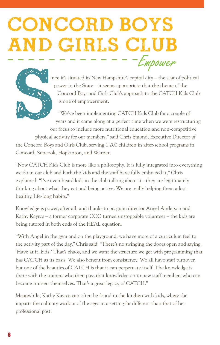## CONCORD BOYS D GIRLS CLUB = -Empower



"We've been implementing CATCH Kids Club for a couple of years and it came along at a perfect time when we were restructuring our focus to include more nutritional education and non-competitive

physical activity for our members," said Chris Emond, Executive Director of the Concord Boys and Girls Club, serving 1,200 children in after-school programs in Concord, Suncook, Hopkinton, and Warner.

"Now CATCH Kids Club is more like a philosophy. It is fully integrated into everything we do in our club and both the kids and the staff have fully embraced it," Chris explained. "I've even heard kids in the club talking about it - they are legitimately thinking about what they eat and being active. We are really helping them adopt healthy, life-long habits."

Knowledge is power, after all, and thanks to program director Angel Anderson and Kathy Kayros – a former corporate COO turned unstoppable volunteer – the kids are being tutored in both ends of the HEAL equation.

"With Angel in the gym and on the playground, we have more of a curriculum feel to the activity part of the day," Chris said. "There's no swinging the doors open and saying, 'Have at it, kids!' That's chaos, and we want the structure we get with programming that has CATCH as its basis. We also benefit from consistency. We all have staff turnover, but one of the beauties of CATCH is that it can perpetuate itself. The knowledge is there with the trainers who then pass that knowledge on to new staff members who can become trainers themselves. That's a great legacy of CATCH."

Meanwhile, Kathy Kayros can often be found in the kitchen with kids, where she imparts the culinary wisdom of the ages in a setting far different than that of her professional past.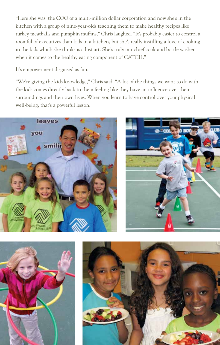"Here she was, the COO of a multi-million dollar corporation and now she's in the kitchen with a group of nine-year-olds teaching them to make healthy recipes like turkey meatballs and pumpkin muffins," Chris laughed. "It's probably easier to control a roomful of executives than kids in a kitchen, but she's really instilling a love of cooking in the kids which she thinks is a lost art. She's truly our chief cook and bottle washer when it comes to the healthy eating component of CATCH."

It's empowerment disguised as fun.

"We're giving the kids knowledge," Chris said. "A lot of the things we want to do with the kids comes directly back to them feeling like they have an influence over their surroundings and their own lives. When you learn to have control over your physical well-being, that's a powerful lesson.







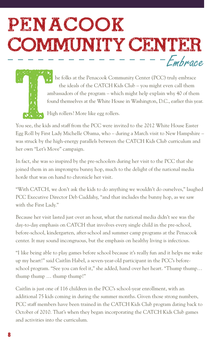### PENACOOK COMMUNITY CENTER -Embrace



 he folks at the Penacook Community Center (PCC) truly embrace the ideals of the CATCH Kids Club – you might even call them ambassadors of the program – which might help explain why 40 of them found themselves at the White House in Washington, D.C., earlier this year.

High rollers? More like egg rollers.

You see, the kids and staff from the PCC were invited to the 2012 White House Easter Egg Roll by First Lady Michelle Obama, who – during a March visit to New Hampshire – was struck by the high-energy parallels between the CATCH Kids Club curriculum and her own "Let's Move" campaign.

In fact, she was so inspired by the pre-schoolers during her visit to the PCC that she joined them in an impromptu bunny hop, much to the delight of the national media horde that was on hand to chronicle her visit.

"With CATCH, we don't ask the kids to do anything we wouldn't do ourselves," laughed PCC Executive Director Deb Cuddahy, "and that includes the bunny hop, as we saw with the First Lady."

Because her visit lasted just over an hour, what the national media didn't see was the day-to-day emphasis on CATCH that involves every single child in the pre-school, before-school, kindergarten, after-school and summer camp programs at the Penacook center. It may sound incongruous, but the emphasis on healthy living is infectious.

"I like being able to play games before school because it's really fun and it helps me wake up my heart!" said Caitlin Habel, a seven-year-old participant in the PCC's beforeschool program. "See you can feel it," she added, hand over her heart. "Thump thump… thump thump … thump thump!"

Caitlin is just one of 116 children in the PCC's school-year enrollment, with an additional 75 kids coming in during the summer months. Given those strong numbers, PCC staff members have been trained in the CATCH Kids Club program dating back to October of 2010. That's when they began incorporating the CATCH Kids Club games and activities into the curriculum.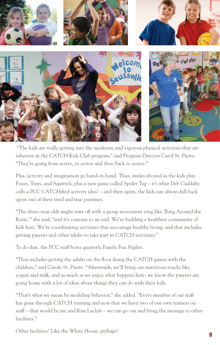

 "The kids are really getting into the moderate and vigorous physical activities that are inherent in the CATCH Kids Club program," said Program Director Carol St. Pierre. "They're going from active, to active and then back to active."

Plus, activity and imagination go hand-in-hand. Thus, smiles abound as the kids play Foxes, Trees, and Squirrels, plus a new game called Spider Tag – it's what Deb Cuddahy calls a PCC CATCHified activity idea! – and then again, the kids can always fall back upon one of their tried and true pastimes.

"The three-year-olds might start off with a group movement song like 'Ring Around the Rosie,'" she said, "and it's a means to an end. We're building a healthier community of kids here. We're coordinating activities that encourage healthy living, and that includes getting parents and other adults to take part in CATCH activities."

To do that, the PCC staff hosts quarterly Family Fun Nights.

"That includes getting the adults on the floor doing the CATCH games with the children," said Carole St. Pierre. "Afterwards, we'll bring out nutritious snacks like yogurt and milk, and as much as we enjoy what happens here, we know the parents are going home with a lot of ideas about things they can do with their kids.

"That's what we mean by modeling behavior," she added. "Every member of our staff has gone through CATCH training and now that we have two of our own trainers on staff – that would be me and Kim Laclair – we can go out and bring the message to other facilities."

Other facilities? Like the White House, perhaps? '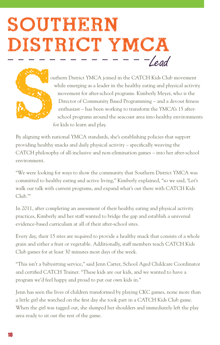## SOUTHERN DISTRICT YMCA =  $-$ Lead

outhern District YMCA joined in the CATCH Kids Club movement while emerging as a leader in the healthy eating and physical activity movement for after-school programs. Kimberly Meyer, who is the Director of Community Based Programming – and a devout fitness enthusiast – has been working to transform the YMCA's 15 afterschool programs around the seacoast area into healthy environments for kids to learn and play.

By aligning with national YMCA standards, she's establishing policies that support providing healthy snacks and daily physical activity – specifically weaving the CATCH philosophy of all-inclusive and non-elimination games – into her after-school environment.

"We were looking for ways to show the community that Southern District YMCA was committed to healthy eating and active living," Kimberly explained, "so we said, 'Let's walk our talk with current programs, and expand what's out there with CATCH Kids Club.'"

In 2011, after completing an assessment of their healthy eating and physical activity practices, Kimberly and her staff wanted to bridge the gap and establish a universal evidence-based curriculum at all of their after-school sites.

Every day, their 15 sites are required to provide a healthy snack that consists of a whole grain and either a fruit or vegetable. Additionally, staff members teach CATCH Kids Club games for at least 30 minutes most days of the week.

"This isn't a babysitting service," said Jenn Carter, School Aged Childcare Coordinator and certified CATCH Trainer. "These kids are our kids, and we wanted to have a program we'd feel happy and proud to put our own kids in."

Jenn has seen the lives of children transformed by playing CKC games, none more than a little girl she watched on the first day she took part in a CATCH Kids Club game. When the girl was tagged out, she slumped her shoulders and immediately left the play area ready to sit out the rest of the game.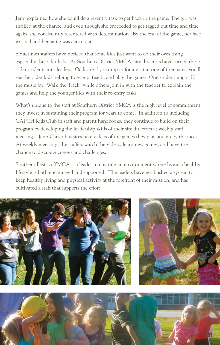Jenn explained how she could do a re-entry task to get back in the game. The girl was thrilled at the chance, and even though she proceeded to get tagged out time and time again, she consistently re-entered with determination. By the end of the game, her face was red and her smile was ear-to-ear.

Sometimes staffers have noticed that some kids just want to do their own thing… especially the older kids. At Southern District YMCA, site directors have turned these older students into leaders. Odds are if you drop in for a visit at one of their sites, you'll see the older kids helping to set-up, teach, and play the games. One student might DJ the music for "Walk the Track" while others join in with the teacher to explain the games and help the younger kids with their re-entry tasks.

What's unique to the staff at Southern District YMCA is the high level of commitment they invest in sustaining their program for years to come. In addition to including CATCH Kids Club in staff and parent handbooks, they continue to build on their program by developing the leadership skills of their site directors at weekly staff meetings. Jenn Carter has sites take videos of the games they play and enjoy the most. At weekly meetings, the staffers watch the videos, learn new games, and have the chance to discuss successes and challenges.

Southern District YMCA is a leader in creating an environment where living a healthy lifestyle is both encouraged and supported. The leaders have established a system to keep healthy living and physical activity at the forefront of their mission, and has cultivated a staff that supports the effort.



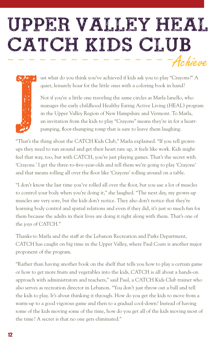## UPPER VALLEY HEAL CATCH KIDS CLUB -Achieve



ust what do you think you've achieved if kids ask you to play "Crayons?" A quiet, leisurely hour for the little ones with a coloring book in hand?

Not if you're a little one traveling the same circles as Marla Ianello, who manages the early childhood Healthy Eating Active Living (HEAL) program in the Upper Valley Region of New Hampshire and Vermont. To Marla, an invitation from the kids to play "Crayons" means they're in for a heartpumping, floor-thumping romp that is sure to leave them laughing.

"That's the thing about the CATCH Kids Club," Marla explained. "If you tell grownups they need to run around and get their heart rate up, it feels like work. Kids might feel that way, too, but with CATCH, you're just playing games. That's the secret with 'Crayons.' I get the three-to-five-year-olds and tell them we're going to play 'Crayons' and that means rolling all over the floor like 'Crayons' rolling around on a table.

"I don't know the last time you've rolled all over the floor, but you use a lot of muscles to control your body when you're doing it," she laughed. "The next day, my grown-up muscles are very sore, but the kids don't notice. They also don't notice that they're learning body control and spatial relations and even if they did, it's just so much fun for them because the adults in their lives are doing it right along with them. That's one of the joys of CATCH."

Thanks to Marla and the staff at the Lebanon Recreation and Parks Department, CATCH has caught on big time in the Upper Valley, where Paul Coats is another major proponent of the program.

"Rather than having another book on the shelf that tells you how to play a certain game or how to get more fruits and vegetables into the kids, CATCH is all about a hands-on approach with administrators and teachers," said Paul, a CATCH Kids Club trainer who also serves as recreation director in Lebanon. "You don't just throw out a ball and tell the kids to play. It's about thinking it through. How do you get the kids to move from a warm-up to a good vigorous game and then to a gradual cool-down? Instead of having some of the kids moving some of the time, how do you get all of the kids moving most of the time? A secret is that no one gets eliminated."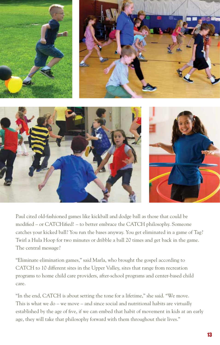

Paul cited old-fashioned games like kickball and dodge ball as those that could be modified – or CATCHified! – to better embrace the CATCH philosophy. Someone catches your kicked ball? You run the bases anyway. You get eliminated in a game of Tag? Twirl a Hula Hoop for two minutes or dribble a ball 20 times and get back in the game. The central message?

"Eliminate elimination games," said Marla, who brought the gospel according to CATCH to 10 different sites in the Upper Valley, sites that range from recreation programs to home child care providers, after-school programs and center-based child care.

"In the end, CATCH is about setting the tone for a lifetime," she said. "We move. This is what we do – we move – and since social and nutritional habits are virtually established by the age of five, if we can embed that habit of movement in kids at an early age, they will take that philosophy forward with them throughout their lives."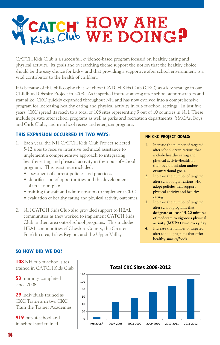#### HOW ARE **CH** WE DOING?  $C145$

CATCH Kids Club is a successful, evidence-based program focused on healthy eating and physical activity. Its goals and overarching theme support the notion that the healthy choice should be the easy choice for kids-- and that providing a supportive after school environment is a vital contributor to the health of children.

It is because of this philosophy that we chose CATCH Kids Club (CKC) as a key strategy in our Childhood Obesity Project in 2008. As it sparked interest among after school administrators and staff alike, CKC quickly expanded throughout NH and has now evolved into a comprehensive program for increasing healthy eating and physical activity in out-of-school settings. In just five years, CKC spread its reach to a total of 108 sites representing 9 out of 10 counties in NH. These include private after school programs as well as parks and recreation departments, YMCAs, Boys and Girls Clubs, and in-school recess and energizer programs.

#### **THIS EXPANSION OCCURRED IN TWO WAYS:**

- 1. Each year, the NH CATCH Kids Club Project selected 5-12 sites to receive intensive technical assistance to implement a comprehensive approach to integrating healthy eating and physical activity in their out-of-school programs. This assistance included:
	- assessment of current policies and practices.
	- identification of opportunities and the development of an action plan.
- training for staff and administration to implement CKC.
	- evaluation of healthy eating and physical activity outcomes.
- 2. NH CATCH Kids Club also provided support to HEAL communities as they worked to implement CATCH Kids Club in their area out-of-school programs. This includes HEAL communities of Cheshire County, the Greater Franklin area, Lakes Region, and the Upper Valley.

#### **NH CKC PROJECT GOALS:**

- 1. Increase the number of targeted after school organizations that include healthy eating and physical activity/health in their overall **mission and/or organizational goals**.
- 2. Increase the number of targeted after school organizations who **adopt policies** that support physical activity and healthy eating.
- 3. Increase the number of targeted after school programs that **designate at least 15-20 minutes of moderate to vigorous physical activity (MVPA) time every day**.
- 4. Increase the number of targeted after school programs that **offer healthy snacks/foods**.

#### **SO HOW DID WE DO?**

**108** NH out-of-school sites trained in CATCH Kids Club

**53** trainings completed since 2008

**29** individuals trained as CKC Trainers in two CKC Train the Trainer Academies.

**919** out-of-school and in-school staff trained

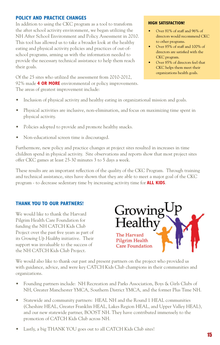#### **POLICY AND PRACTICE CHANGES**

In addition to using the CKC program as a tool to transform the after school activity environment, we began utilizing the NH After School Environment and Policy Assessment in 2010. This tool has allowed us to take a broader look at the healthy eating and physical activity policies and practices of out-ofschool programs, arming us with the information needed to provide the necessary technical assistance to help them reach their goals.

Of the 25 sites who utilized the assessment from 2010-2012, 92% made **4 OR MORE** environmental or policy improvements. The areas of greatest improvement include:

#### **HIGH SATISFACTION!**

- Over 81% of staff and 96% of directors would recommend CKC to other programs.
- Over 85% of staff and 100% of directors are satisfied with the CKC program.
- Over 85% of directors feel that CKC helps them meet their organizations health goals.
- Inclusion of physical activity and healthy eating in organizational mission and goals.
- Physical activities are inclusive, non-elimination, and focus on maximizing time spent in physical activity.
- Policies adopted to provide and promote healthy snacks.
- Non-educational screen time is discouraged.

Furthermore, new policy and practice changes at project sites resulted in increases in time children spend in physical activity. Site observations and reports show that most project sites offer CKC games at least 25-30 minutes 3 to 5 days a week.

These results are an important reflection of the quality of the CKC Program. Through training and technical assistance, sites have shown that they are able to meet a major goal of the CKC program - to decrease sedentary time by increasing activity time for **ALL KIDS**.

#### **THANK YOU TO OUR PARTNERS!**

We would like to thank the Harvard Pilgrim Health Care Foundation for funding the NH CATCH Kids Club Project over the past five years as part of its *Growing Up Healthy* initiative. Their support was invaluable to the success of the NH CATCH Kids Club Project.



We would also like to thank our past and present partners on the project who provided us with guidance, advice, and were key CATCH Kids Club champions in their communities and organizations.

- Founding partners include: NH Recreation and Parks Association, Boys & Girls Clubs of NH, Greater Manchester YMCA, Southern District YMCA, and the former Plus Time NH.
- Statewide and community partners: HEAL NH and the Round 1 HEAL communities (Cheshire HEAL, Greater Franklin HEAL, Lakes Region HEAL, and Upper Valley HEAL), and our new statewide partner, BOOST NH. They have contributed immensely to the promotion of CATCH Kids Club across NH.
- Lastly, a big THANK YOU goes out to all CATCH Kids Club sites!